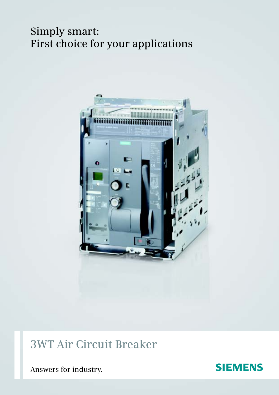# **Simply smart: First choice for your applications**



# **3WT Air Circuit Breaker**

Answers for industry. SIEMENS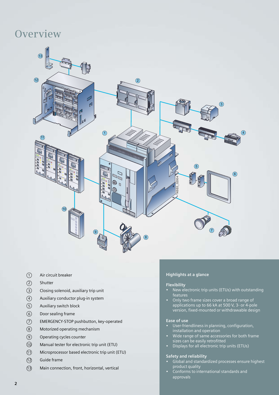# **Overview**



- 1 Air circuit breaker
- 2 Shutter
- 3 Closing solenoid, auxiliary trip unit
- 4 Auxiliary conductor plug-in system
- 5 Auxiliary switch block
- 6 Door sealing frame
- 7 EMERGENCY-STOP pushbutton, key-operated
- 8 Motorized operating mechanism
- 9 Operating cycles counter
- 10 Manual tester for electronic trip unit (ETU)
- 11 Microprocessor based electronic trip unit (ETU)
- 12 Guide frame
- 13 Main connection, front, horizontal, vertical

## **Highlights at a glance**

### **Flexibility**

- New electronic trip units (ETUs) with outstanding features
- Only two frame sizes cover a broad range of applications up to 66 kA at 500 V, 3- or 4-pole version, fixed-mounted or withdrawable design

### **Ease of use**

- User-friendliness in planning, configuration, installation and operation
- Wide range of same accessories for both frame sizes can be easily retrofitted
- Displays for all electronic trip units (ETUs)

### **Safety and reliability**

- Global and standardized processes ensure highest product quality
- Conforms to international standards and approvals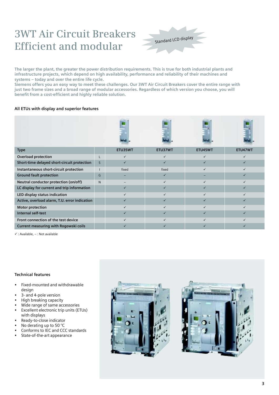# **3WT Air Circuit Breakers Efficient and modular**



**The larger the plant, the greater the power distribution requirements. This is true for both industrial plants and infrastructure projects, which depend on high availability, performance and reliability of their machines and systems – today and over the entire life cycle.**

**Siemens offers you an easy way to meet these challenges. Our 3WT Air Circuit Breakers cover the entire range with just two frame sizes and a broad range of modular accessories. Regardless of which version you choose, you will benefit from a cost-efficient and highly reliable solution.**

### **All ETUs with display and superior features**

| <b>Type</b>                                   |              | ETU35WT      | ETU37WT      | ETU45WT      | ETU47WT |
|-----------------------------------------------|--------------|--------------|--------------|--------------|---------|
| <b>Overload protection</b>                    | L            | $\checkmark$ | ✓            | ✓            |         |
| Short-time delayed short-circuit protection   | $\mathsf{S}$ | $\checkmark$ | ✓            | ✓            |         |
| Instantaneous short-circuit protection        |              | fixed        | fixed        | $\checkmark$ |         |
| <b>Ground fault protection</b>                | G            |              | ✓            |              |         |
| Neutral conductor protection (on/off)         | N            |              | ✓            |              |         |
| LC display for current and trip information   |              | ✓            | ✓            |              |         |
| LED display status indication                 |              | $\checkmark$ | $\checkmark$ | $\checkmark$ |         |
| Active, overload alarm, T.U. error indication |              | ✓            | ✓            | ✓            |         |
| <b>Motor protection</b>                       |              | $\checkmark$ | $\checkmark$ | ✓            |         |
| Internal self-test                            |              | ✓            | ✓            |              |         |
| Front connection of the test device           |              |              |              |              |         |
| <b>Current measuring with Rogowski coils</b>  |              |              |              |              |         |

 $\checkmark$  : Available, – : Not available

### **Technical features**

- Fixed-mounted and withdrawable design
- 3- and 4-pole version
- High breaking capacity
- Wide range of same accessories • Excellent electronic trip units (ETUs)
- with displays
- Ready-to-close indicator
- No derating up to 50 °C
- Conforms to IEC and CCC standards
- State-of-the-art appearance



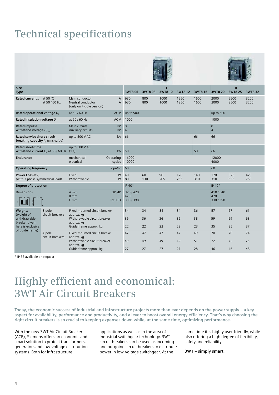# **Technical specifications**

| <b>Size</b><br><b>Type</b>                                                          |                            |                                                                                           |                     | 3WT806                      | 3WT808     | 3WT8 10      | 3WT8 12      | 3WT8 16      | 3WT8 20                     | $\mathbf{II}$<br>3WT8 25 | 3WT832       |
|-------------------------------------------------------------------------------------|----------------------------|-------------------------------------------------------------------------------------------|---------------------|-----------------------------|------------|--------------|--------------|--------------|-----------------------------|--------------------------|--------------|
| Rated current $I_n$ at 50 °C                                                        | at 50 / 60 Hz              | Main conductor<br>Neutral conductor<br>(only on 4-pole version)                           | A<br>$\overline{A}$ | 630<br>630                  | 800<br>800 | 1000<br>1000 | 1250<br>1250 | 1600<br>1600 | 2000<br>2000                | 2500<br>2500             | 3200<br>3200 |
| Rated operational voltage $U_e$                                                     |                            | at 50 / 60 Hz                                                                             | AC <sub>V</sub>     | up to 500                   |            |              |              |              | up to 500                   |                          |              |
| Rated insulation voltage $U_i$                                                      |                            | at 50 / 60 Hz                                                                             | AC V                | 1000                        |            |              |              |              | 1000                        |                          |              |
| <b>Rated impulse</b><br>withstand voltage $U_{\text{imp}}$                          |                            | Main circuits<br>Auxiliary circuits                                                       | kV<br>kV            | 8<br>$\overline{4}$         |            |              |              |              | 8<br>$\overline{4}$         |                          |              |
| Rated service short-circuit<br><b>breaking capacity</b> $I_{\text{cs}}$ (rms value) |                            | up to 500 V AC                                                                            | kA                  | 66                          |            |              |              | 66           | 66                          |                          |              |
| <b>Rated short-time</b><br>withstand current $I_{cw}$ at 50 / 60 Hz (1 s)           |                            | up to 500 V AC                                                                            | kA                  | 50                          |            |              |              | 50           | 66                          |                          |              |
| <b>Endurance</b>                                                                    |                            | mechanical<br>electrical                                                                  | Operating<br>cycles | 16000<br>10000              |            |              |              |              | 12000<br>4000               |                          |              |
| <b>Operating frequency</b>                                                          |                            |                                                                                           | opn/hr              | 60                          |            |              |              |              | 60                          |                          |              |
| Power Loss at $I_n$<br>(with 3 phase symmetrical load)                              |                            | Fixed<br>Withdrawable                                                                     | W<br>W              | 40<br>80                    | 60<br>130  | 90<br>205    | 120<br>255   | 140<br>310   | 170<br>310                  | 325<br>535               | 420<br>760   |
| Degree of protection                                                                |                            |                                                                                           |                     | IP 40*                      |            |              |              |              | IP $40*$                    |                          |              |
| <b>Dimensions</b>                                                                   |                            | A mm<br>B mm<br>C <sub>mm</sub>                                                           | 3P / 4P<br>Fix / DO | 320/420<br>470<br>330 / 398 |            |              |              |              | 410/540<br>470<br>330 / 398 |                          |              |
| Weights                                                                             | 3-pole<br>circuit breakers | Fixed-mounted circuit breaker<br>approx. kg<br>Withdrawable circuit breaker<br>approx. kg |                     | 34                          | 34         | 34           | 34           | 36           | 57                          | 57                       | 61           |
| (weight of<br>withdrawable<br>breaker given<br>here is exclusive<br>of quide frame) |                            |                                                                                           |                     | 36                          | 36         | 36           | 36           | 38           | 59                          | 59                       | 63           |
|                                                                                     | 4-pole<br>circuit breakers | Guide frame approx. kg                                                                    |                     | 22                          | 22         | 22           | 22           | 23           | 35                          | 35                       | 37           |
|                                                                                     |                            | Fixed-mounted circuit breake<br>approx. kg<br>Withdrawable circuit breaker                |                     | 47<br>49                    | 47<br>49   | 47<br>49     | 47<br>49     | 49<br>51     | 70<br>72                    | 70<br>72                 | 74<br>76     |
|                                                                                     |                            | approx. kg<br>Guide frame approx. kg                                                      |                     | 27                          | 27         | 27           | 27           | 28           | 46                          | 46                       | 48           |

\* IP 55 available on request

# **Highly efficient and economical: 3WT Air Circuit Breakers**

**Today, the economic success of industrial and infrastructure projects more than ever depends on the power supply – a key aspect for availability, performance and productivity, and a lever to boost overall energy efficiency. That's why choosing the right circuit breakers is so crucial to keeping expenses down while, at the same time, optimizing performance.**

With the new 3WT Air Circuit Breaker (ACB), Siemens offers an economic and smart solution to protect transformers, generators and low-voltage distribution systems. Both for infrastructure

applications as well as in the area of industrial switchgear technology, 3WT circuit breakers can be used as incoming and outgoing circuit breakers to distribute power in low-voltage switchgear. At the

same time it is highly user-friendly, while also offering a high degree of flexibility, safety and reliability.

**3WT – simply smart.**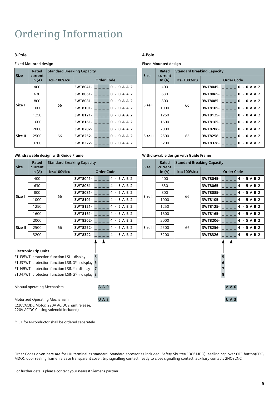# **Ordering Information**

#### **3-Pole**

#### **Fixed Mounted design**

| <b>Size</b> | Rated<br>current<br>In $(A)$ | <b>Standard Breaking Capacity</b> |                           | <b>Size</b> | Rated<br>current<br>In $(A)$ | Standar     |
|-------------|------------------------------|-----------------------------------|---------------------------|-------------|------------------------------|-------------|
|             |                              | $lcs = 100\%$ cu                  | <b>Order Code</b>         |             |                              | $Ics = 100$ |
| Size I      | 400                          | 66                                | 3WT8041-<br>$0 - 0 A A 2$ |             | 400                          | 66          |
|             | 630                          |                                   | 3WT8061-<br>$0 - 0 A A 2$ |             | 630                          |             |
|             | 800                          |                                   | 3WT8081-<br>$0 - 0 A A 2$ |             | 800                          |             |
|             | 1000                         |                                   | $0 - 0 A A 2$<br>3WT8101- | Size I      | 1000                         |             |
|             | 1250                         |                                   | 3WT8121-<br>$0 - 0 A A 2$ |             | 1250                         |             |
|             | 1600                         |                                   | $0 - 0 A A 2$<br>3WT8161- |             | 1600                         |             |
| Size II     | 2000                         | 66                                | $0 - 0 A A 2$<br>3WT8202- |             | 2000                         |             |
|             | 2500                         |                                   | $0 - 0 A A 2$<br>3WT8252- | Size II     | 2500                         | 66          |
|             | 3200                         |                                   | 3WT8322-<br>$0 - 0 A A 2$ |             | 3200                         |             |

### **4-Pole**

#### **Fixed Mounted design**

**Withdrawable design with Guide Frame**

| <b>Size</b> | Rated<br>current<br>In $(A)$ | <b>Standard Breaking Capacity</b> |                           |  |  |  |  |  |
|-------------|------------------------------|-----------------------------------|---------------------------|--|--|--|--|--|
|             |                              | $lcs = 100\%$ cu                  | <b>Order Code</b>         |  |  |  |  |  |
| Size I      | 400                          |                                   | 3WT8045-<br>0 - 0 A A 2   |  |  |  |  |  |
|             | 630                          | 66                                | 3WT8065-<br>$0 - 0 A A 2$ |  |  |  |  |  |
|             | 800                          |                                   | 3WT8085-<br>$0 - 0 A A 2$ |  |  |  |  |  |
|             | 1000                         |                                   | 3WT8105-<br>$0 - 0 A A 2$ |  |  |  |  |  |
|             | 1250                         |                                   | 3WT8125-<br>0 - 0 A A 2   |  |  |  |  |  |
|             | 1600                         |                                   | 3WT8165-<br>$0 - 0 A A 2$ |  |  |  |  |  |
| Size II     | 2000                         |                                   | 3WT8206-<br>$0 - 0$ A A 2 |  |  |  |  |  |
|             | 2500                         | 66                                | 3WT8256-<br>0 - 0 A A 2   |  |  |  |  |  |
|             | 3200                         |                                   | 3WT8326-<br>-0AA2<br>0    |  |  |  |  |  |

#### **Withdrawable design with Guide Frame**

| <b>Size</b>                                                                                                                         | Rated<br>current<br>In $(A)$ | <b>Standard Breaking Capacity</b>                                                                                                                                                                                              |                           |             | Rated               | <b>Standard Breaking Capacity</b> |                           |  |
|-------------------------------------------------------------------------------------------------------------------------------------|------------------------------|--------------------------------------------------------------------------------------------------------------------------------------------------------------------------------------------------------------------------------|---------------------------|-------------|---------------------|-----------------------------------|---------------------------|--|
|                                                                                                                                     |                              | Ics=100%Icu                                                                                                                                                                                                                    | <b>Order Code</b>         | <b>Size</b> | current<br>In $(A)$ | Ics=100%Icu                       | <b>Order Code</b>         |  |
| Size I                                                                                                                              | 400                          | 66                                                                                                                                                                                                                             | $4 - 5$ A B 2<br>3WT8041- |             | 400                 | 66                                | $4 - 5$ A B 2<br>3WT8045- |  |
|                                                                                                                                     | 630                          |                                                                                                                                                                                                                                | 3WT8061<br>$4 - 5$ A B 2  |             | 630                 |                                   | 3WT8065-<br>$4 - 5$ A B 2 |  |
|                                                                                                                                     | 800                          |                                                                                                                                                                                                                                | 3WT8081-<br>$4 - 5$ A B 2 | Size I      | 800                 |                                   | 3WT8085-<br>$4 - 5$ A B 2 |  |
|                                                                                                                                     | 1000                         |                                                                                                                                                                                                                                | 3WT8101-<br>$4 - 5A B2$   |             | 1000                |                                   | 3WT8105-<br>$4 - 5$ A B 2 |  |
|                                                                                                                                     | 1250                         |                                                                                                                                                                                                                                | 3WT8121-<br>$4 - 5$ A B 2 |             | 1250                |                                   | 3WT8125-<br>$4 - 5$ A B 2 |  |
|                                                                                                                                     | 1600                         |                                                                                                                                                                                                                                | $4 - 5A B2$<br>3WT8161-   |             | 1600                |                                   | 3WT8165-<br>$4 - 5$ A B 2 |  |
|                                                                                                                                     | 2000                         | 66                                                                                                                                                                                                                             | $4 - 5$ A B 2<br>3WT8202- |             | 2000                | 66                                | $4 - 5$ A B 2<br>3WT8206- |  |
| Size II                                                                                                                             | 2500                         |                                                                                                                                                                                                                                | $4 - 5A B2$<br>3WT8252-   | Size II     | 2500                |                                   | 3WT8256-<br>$4 - 5$ A B 2 |  |
|                                                                                                                                     | 3200                         |                                                                                                                                                                                                                                | 3WT8322-<br>$4 - 5$ A B 2 |             | 3200                |                                   | 3WT8326-<br>$4 - 5$ A B 2 |  |
|                                                                                                                                     | <b>Electronic Trip Units</b> | ETU35WT: protection function $LSI + display$<br>ETU37WT: protection function LSING <sup>1)</sup> + display 6<br>ETU45WT: protection function $LSIN1$ + display<br>ETU47WT: protection function LSING <sup>1)</sup> + display 8 |                           |             |                     |                                   | 5<br>6<br>7<br>8          |  |
|                                                                                                                                     | Manual operating Mechanism   |                                                                                                                                                                                                                                | <b>AA0</b>                |             |                     |                                   | <b>AA0</b>                |  |
| <b>UA3</b><br>Motorized Operating Mechanism<br>(220VAC/DC Motor, 220V AC/DC shunt release,<br>220V AC/DC Closing solenoid included) |                              |                                                                                                                                                                                                                                |                           |             |                     |                                   | <b>UA3</b>                |  |

<sup>1)</sup> CT for N-conductor shall be ordered separately

Order Codes given here are for HH terminal as standard. Standard accessories included: Safety Shutter(EDO/ MDO), sealing cap over OFF button(EDO/ MDO), door sealing frame, release transparent cover, trip signalling contact, ready to close signalling contact, auxiliary contacts 2NO+2NC